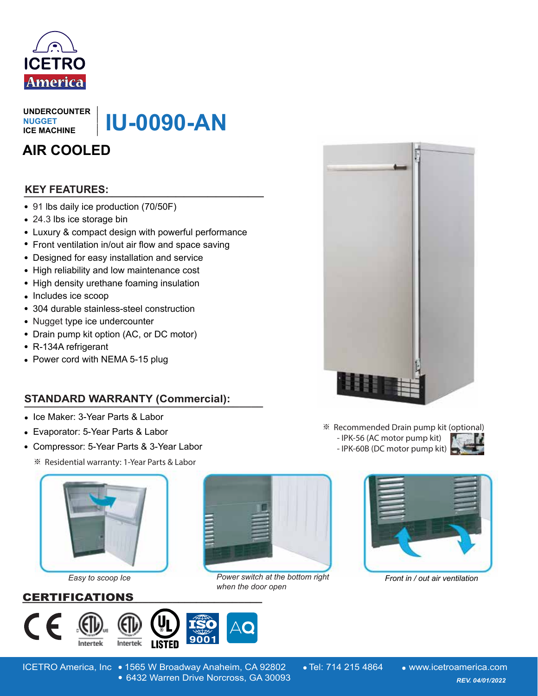

**UNDERCOUNTER NUGGET ICE MACHINE**

**IU-0090-AN**

# **AIR COOLED**

# **\_\_\_\_\_\_\_\_\_\_\_\_\_\_\_\_\_\_\_\_\_\_\_\_\_\_\_\_\_\_ KEY FEATURES:**

- 91 lbs daily ice production (70/50F)
- 24.3 lbs ice storage bin
- Luxury & compact design with powerful performance
- Front ventilation in/out air flow and space saving
- Designed for easy installation and service
- High reliability and low maintenance cost
- High density urethane foaming insulation
- Includes ice scoop
- 304 durable stainless-steel construction
- Nugget type ice undercounter
- Drain pump kit option (AC, or DC motor)
- R-134A refrigerant
- Power cord with NEMA 5-15 plug

# **STANDARD WARRANTY (Commercial): NNDERCOUNTER**<br>
NUCEST<br>
CICE MACHINE<br>
CICE MACHINE<br> **AIR COOLED**<br> **EXEVITEATURES:**<br>
• 91 lbs daily ice production (70/50F)<br>
• 24.3 lbs ice storage bin<br>
• Luxury & compact design with powerful performance<br>
• Front ventilati

- Ice Maker: 3-Year Parts & Labor
- Evaporator: 5-Year Parts & Labor
- Compressor: 5-Year Parts & 3-Year Labor
	- ※ Residential warranty: 1-Year Parts & Labor



- ※ Recommended Drain pump kit (optional)
	- IPK-56 (AC motor pump kit) - IPK-60B (DC motor pump kit)





*Easy to scoop Ice*

### CERTIFICATIONS **\_\_\_\_\_\_\_\_\_\_\_\_\_\_\_\_\_\_\_\_\_\_\_\_\_\_\_\_\_\_\_\_\_\_\_\_\_\_\_\_**





Power switch at the bottom right Front in / out air ventilation *when the door open*



ICETRO America, Inc • 1565 W Broadway Anaheim, CA 92802 • Tel: 714 215 4864 • www.icetroamerica.com 6432 Warren Drive Norcross, GA 30093 *REV. 01/01/2022* 6432 Warren Drive Norcross, GA 30093 *REV. 04/01/2022*